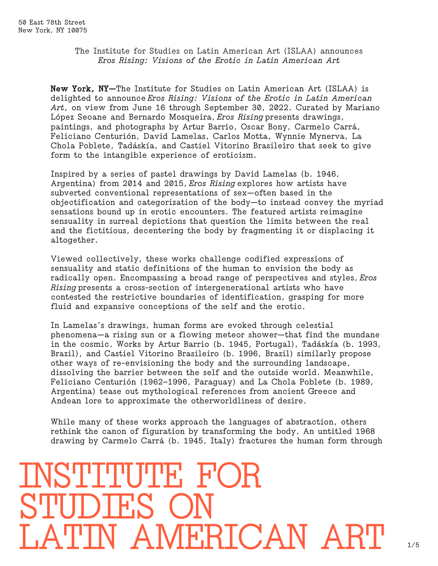## The Institute for Studies on Latin American Art (ISLAA) announces *Eros Rising: Visions of the Erotic in Latin American Art*

New York, NY—The Institute for Studies on Latin American Art (ISLAA) is delighted to announce *Eros Rising: Visions of the Erotic in Latin American Art*, on view from June 16 through September 30, 2022. Curated by Mariano López Seoane and Bernardo Mosqueira, *Eros Rising* presents drawings, paintings, and photographs by Artur Barrio, Oscar Bony, Carmelo Carrá, Feliciano Centurión, David Lamelas, Carlos Motta, Wynnie Mynerva, La Chola Poblete, Tadáskía, and Castiel Vitorino Brasileiro that seek to give form to the intangible experience of eroticism.

Inspired by a series of pastel drawings by David Lamelas (b. 1946, Argentina) from 2014 and 2015, *Eros Rising* explores how artists have subverted conventional representations of sex—often based in the objectification and categorization of the body—to instead convey the myriad sensations bound up in erotic encounters. The featured artists reimagine sensuality in surreal depictions that question the limits between the real and the fictitious, decentering the body by fragmenting it or displacing it altogether.

Viewed collectively, these works challenge codified expressions of sensuality and static definitions of the human to envision the body as radically open. Encompassing a broad range of perspectives and styles, *Eros Rising* presents a cross-section of intergenerational artists who have contested the restrictive boundaries of identification, grasping for more fluid and expansive conceptions of the self and the erotic.

In Lamelas's drawings, human forms are evoked through celestial phenomena—a rising sun or a flowing meteor shower—that find the mundane in the cosmic. Works by Artur Barrio (b. 1945, Portugal), Tadáskía (b. 1993, Brazil), and Castiel Vitorino Brasileiro (b. 1996, Brazil) similarly propose other ways of re-envisioning the body and the surrounding landscape, dissolving the barrier between the self and the outside world. Meanwhile, Feliciano Centurión (1962–1996, Paraguay) and La Chola Poblete (b. 1989, Argentina) tease out mythological references from ancient Greece and Andean lore to approximate the otherworldliness of desire.

While many of these works approach the languages of abstraction, others rethink the canon of figuration by transforming the body. An untitled 1968 drawing by Carmelo Carrá (b. 1945, Italy) fractures the human form through

# **INSTITUTE FO** STUDIES MERICAN ART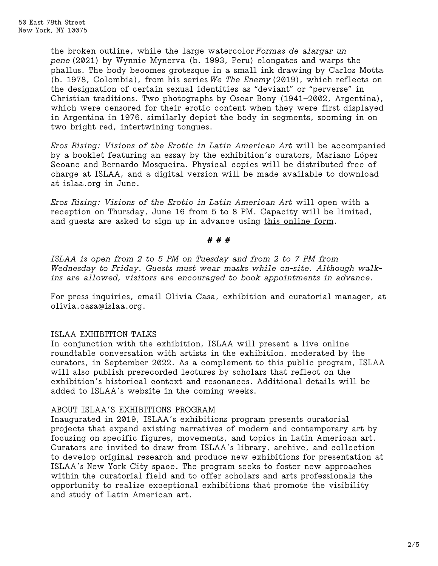the broken outline, while the large watercolor *Formas de alargar un pene* (2021) by Wynnie Mynerva (b. 1993, Peru) elongates and warps the phallus. The body becomes grotesque in a small ink drawing by Carlos Motta (b. 1978, Colombia), from his series *We The Enemy* (2019), which reflects on the designation of certain sexual identities as "deviant" or "perverse" in Christian traditions. Two photographs by Oscar Bony (1941–2002, Argentina), which were censored for their erotic content when they were first displayed in Argentina in 1976, similarly depict the body in segments, zooming in on two bright red, intertwining tongues.

*Eros Rising: Visions of the Erotic in Latin American Art* will be accompanied by a booklet featuring an essay by the exhibition's curators, Mariano López Seoane and Bernardo Mosqueira. Physical copies will be distributed free of charge at ISLAA, and a digital version will be made available to download at [islaa.org](https://www.islaa.org/) in June.

*Eros Rising: Visions of the Erotic in Latin American Art* will open with a reception on Thursday, June 16 from 5 to 8 PM. Capacity will be limited, and guests are asked to sign up in advance using [this online form.](https://docs.google.com/forms/d/e/1FAIpQLSfGS_dwAOe_CljhE0wNZL37QhYkwVmMBZF87Q3mdNXk49XWDw/viewform?usp=send_form)

#### # # #

*ISLAA is open from 2 to 5 PM on Tuesday and from 2 to 7 PM from Wednesday to Friday. Guests must wear masks while on-site. Although walkins are allowed, visitors are encouraged to book appointments in advance.*

For press inquiries, email Olivia Casa, exhibition and curatorial manager, at olivia.casa@islaa.org.

## ISLAA EXHIBITION TALKS

In conjunction with the exhibition, ISLAA will present a live online roundtable conversation with artists in the exhibition, moderated by the curators, in September 2022. As a complement to this public program, ISLAA will also publish prerecorded lectures by scholars that reflect on the exhibition's historical context and resonances. Additional details will be added to ISLAA's website in the coming weeks.

## ABOUT ISLAA'S EXHIBITIONS PROGRAM

Inaugurated in 2019, ISLAA's exhibitions program presents curatorial projects that expand existing narratives of modern and contemporary art by focusing on specific figures, movements, and topics in Latin American art. Curators are invited to draw from ISLAA's library, archive, and collection to develop original research and produce new exhibitions for presentation at ISLAA's New York City space. The program seeks to foster new approaches within the curatorial field and to offer scholars and arts professionals the opportunity to realize exceptional exhibitions that promote the visibility and study of Latin American art.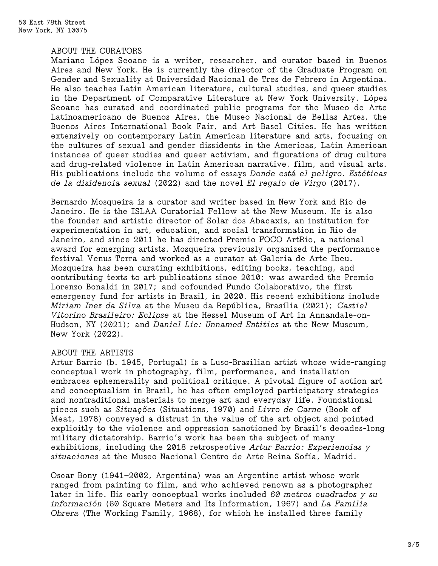#### ABOUT THE CURATORS

Mariano López Seoane is a writer, researcher, and curator based in Buenos Aires and New York. He is currently the director of the Graduate Program on Gender and Sexuality at Universidad Nacional de Tres de Febrero in Argentina. He also teaches Latin American literature, cultural studies, and queer studies in the Department of Comparative Literature at New York University. López Seoane has curated and coordinated public programs for the Museo de Arte Latinoamericano de Buenos Aires, the Museo Nacional de Bellas Artes, the Buenos Aires International Book Fair, and Art Basel Cities. He has written extensively on contemporary Latin American literature and arts, focusing on the cultures of sexual and gender dissidents in the Americas, Latin American instances of queer studies and queer activism, and figurations of drug culture and drug-related violence in Latin American narrative, film, and visual arts. His publications include the volume of essays *Donde está el peligro. Estéticas de la disidencia sexual* (2022) and the novel *El regalo de Virgo* (2017).

Bernardo Mosqueira is a curator and writer based in New York and Rio de Janeiro. He is the ISLAA Curatorial Fellow at the New Museum. He is also the founder and artistic director of Solar dos Abacaxis, an institution for experimentation in art, education, and social transformation in Rio de Janeiro, and since 2011 he has directed Premio FOCO ArtRio, a national award for emerging artists. Mosqueira previously organized the performance festival Venus Terra and worked as a curator at Galeria de Arte Ibeu. Mosqueira has been curating exhibitions, editing books, teaching, and contributing texts to art publications since 2010; was awarded the Premio Lorenzo Bonaldi in 2017; and cofounded Fundo Colaborativo, the first emergency fund for artists in Brazil, in 2020. His recent exhibitions include *Miriam Inez da Silva* at the Museu da República, Brasília (2021); *Castiel Vitorino Brasileiro: Eclipse* at the Hessel Museum of Art in Annandale-on-Hudson, NY (2021); and *Daniel Lie: Unnamed Entities* at the New Museum, New York (2022).

## ABOUT THE ARTISTS

Artur Barrio (b. 1945, Portugal) is a Luso-Brazilian artist whose wide-ranging conceptual work in photography, film, performance, and installation embraces ephemerality and political critique. A pivotal figure of action art and conceptualism in Brazil, he has often employed participatory strategies and nontraditional materials to merge art and everyday life. Foundational pieces such as *Situações* (Situations, 1970) and *Livro de Carne* (Book of Meat, 1978) conveyed a distrust in the value of the art object and pointed explicitly to the violence and oppression sanctioned by Brazil's decades-long military dictatorship. Barrio's work has been the subject of many exhibitions, including the 2018 retrospective *Artur Barrio: Experiencias y situaciones* at the Museo Nacional Centro de Arte Reina Sofía, Madrid.

Oscar Bony (1941–2002, Argentina) was an Argentine artist whose work ranged from painting to film, and who achieved renown as a photographer later in life. His early conceptual works included *60 metros cuadrados y su información* (60 Square Meters and Its Information, 1967) and *La Familia Obrera* (The Working Family, 1968), for which he installed three family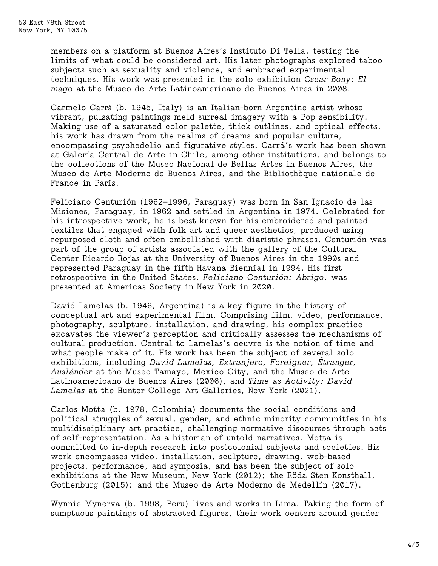members on a platform at Buenos Aires's Instituto Di Tella, testing the limits of what could be considered art. His later photographs explored taboo subjects such as sexuality and violence, and embraced experimental techniques. His work was presented in the solo exhibition *Oscar Bony: El mago* at the Museo de Arte Latinoamericano de Buenos Aires in 2008.

Carmelo Carrá (b. 1945, Italy) is an Italian-born Argentine artist whose vibrant, pulsating paintings meld surreal imagery with a Pop sensibility. Making use of a saturated color palette, thick outlines, and optical effects, his work has drawn from the realms of dreams and popular culture, encompassing psychedelic and figurative styles. Carrá's work has been shown at Galería Central de Arte in Chile, among other institutions, and belongs to the collections of the Museo Nacional de Bellas Artes in Buenos Aires, the Museo de Arte Moderno de Buenos Aires, and the Bibliothèque nationale de France in Paris.

Feliciano Centurión (1962–1996, Paraguay) was born in San Ignacio de las Misiones, Paraguay, in 1962 and settled in Argentina in 1974. Celebrated for his introspective work, he is best known for his embroidered and painted textiles that engaged with folk art and queer aesthetics, produced using repurposed cloth and often embellished with diaristic phrases. Centurión was part of the group of artists associated with the gallery of the Cultural Center Ricardo Rojas at the University of Buenos Aires in the 1990s and represented Paraguay in the fifth Havana Biennial in 1994. His first retrospective in the United States, *Feliciano Centurión: Abrigo*, was presented at Americas Society in New York in 2020.

David Lamelas (b. 1946, Argentina) is a key figure in the history of conceptual art and experimental film. Comprising film, video, performance, photography, sculpture, installation, and drawing, his complex practice excavates the viewer's perception and critically assesses the mechanisms of cultural production. Central to Lamelas's oeuvre is the notion of time and what people make of it. His work has been the subject of several solo exhibitions, including *David Lamelas, Extranjero, Foreigner, Étranger, Ausländer* at the Museo Tamayo, Mexico City, and the Museo de Arte Latinoamericano de Buenos Aires (2006), and *Time as Activity: David Lamelas* at the Hunter College Art Galleries, New York (2021).

Carlos Motta (b. 1978, Colombia) documents the social conditions and political struggles of sexual, gender, and ethnic minority communities in his multidisciplinary art practice, challenging normative discourses through acts of self-representation. As a historian of untold narratives, Motta is committed to in-depth research into postcolonial subjects and societies. His work encompasses video, installation, sculpture, drawing, web-based projects, performance, and symposia, and has been the subject of solo exhibitions at the New Museum, New York (2012); the Röda Sten Konsthall, Gothenburg (2015); and the Museo de Arte Moderno de Medellín (2017).

Wynnie Mynerva (b. 1993, Peru) lives and works in Lima. Taking the form of sumptuous paintings of abstracted figures, their work centers around gender